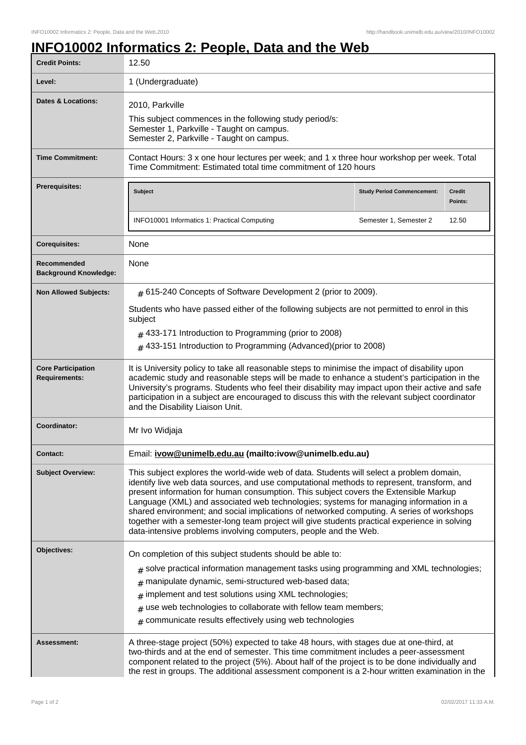## **INFO10002 Informatics 2: People, Data and the Web**

| <b>Credit Points:</b>                             | 12.50                                                                                                                                                                                                                                                                                                                                                                                                                                                                                                                                                                                                                                     |                                   |                          |
|---------------------------------------------------|-------------------------------------------------------------------------------------------------------------------------------------------------------------------------------------------------------------------------------------------------------------------------------------------------------------------------------------------------------------------------------------------------------------------------------------------------------------------------------------------------------------------------------------------------------------------------------------------------------------------------------------------|-----------------------------------|--------------------------|
| Level:                                            | 1 (Undergraduate)                                                                                                                                                                                                                                                                                                                                                                                                                                                                                                                                                                                                                         |                                   |                          |
| <b>Dates &amp; Locations:</b>                     | 2010, Parkville<br>This subject commences in the following study period/s:<br>Semester 1, Parkville - Taught on campus.<br>Semester 2, Parkville - Taught on campus.                                                                                                                                                                                                                                                                                                                                                                                                                                                                      |                                   |                          |
| <b>Time Commitment:</b>                           | Contact Hours: 3 x one hour lectures per week; and 1 x three hour workshop per week. Total<br>Time Commitment: Estimated total time commitment of 120 hours                                                                                                                                                                                                                                                                                                                                                                                                                                                                               |                                   |                          |
| <b>Prerequisites:</b>                             | <b>Subject</b>                                                                                                                                                                                                                                                                                                                                                                                                                                                                                                                                                                                                                            | <b>Study Period Commencement:</b> | <b>Credit</b><br>Points: |
|                                                   | INFO10001 Informatics 1: Practical Computing                                                                                                                                                                                                                                                                                                                                                                                                                                                                                                                                                                                              | Semester 1, Semester 2            | 12.50                    |
| <b>Corequisites:</b>                              | None                                                                                                                                                                                                                                                                                                                                                                                                                                                                                                                                                                                                                                      |                                   |                          |
| Recommended<br><b>Background Knowledge:</b>       | None                                                                                                                                                                                                                                                                                                                                                                                                                                                                                                                                                                                                                                      |                                   |                          |
| <b>Non Allowed Subjects:</b>                      | $#$ 615-240 Concepts of Software Development 2 (prior to 2009).                                                                                                                                                                                                                                                                                                                                                                                                                                                                                                                                                                           |                                   |                          |
|                                                   | Students who have passed either of the following subjects are not permitted to enrol in this<br>subject                                                                                                                                                                                                                                                                                                                                                                                                                                                                                                                                   |                                   |                          |
|                                                   | $#$ 433-171 Introduction to Programming (prior to 2008)<br># 433-151 Introduction to Programming (Advanced) (prior to 2008)                                                                                                                                                                                                                                                                                                                                                                                                                                                                                                               |                                   |                          |
| <b>Core Participation</b><br><b>Requirements:</b> | It is University policy to take all reasonable steps to minimise the impact of disability upon<br>academic study and reasonable steps will be made to enhance a student's participation in the<br>University's programs. Students who feel their disability may impact upon their active and safe<br>participation in a subject are encouraged to discuss this with the relevant subject coordinator<br>and the Disability Liaison Unit.                                                                                                                                                                                                  |                                   |                          |
| Coordinator:                                      | Mr Ivo Widjaja                                                                                                                                                                                                                                                                                                                                                                                                                                                                                                                                                                                                                            |                                   |                          |
| <b>Contact:</b>                                   | Email: ivow@unimelb.edu.au (mailto:ivow@unimelb.edu.au)                                                                                                                                                                                                                                                                                                                                                                                                                                                                                                                                                                                   |                                   |                          |
| <b>Subject Overview:</b>                          | This subject explores the world-wide web of data. Students will select a problem domain,<br>identify live web data sources, and use computational methods to represent, transform, and<br>present information for human consumption. This subject covers the Extensible Markup<br>Language (XML) and associated web technologies; systems for managing information in a<br>shared environment; and social implications of networked computing. A series of workshops<br>together with a semester-long team project will give students practical experience in solving<br>data-intensive problems involving computers, people and the Web. |                                   |                          |
| Objectives:                                       | On completion of this subject students should be able to:                                                                                                                                                                                                                                                                                                                                                                                                                                                                                                                                                                                 |                                   |                          |
|                                                   | $_{\text{\#}}$ solve practical information management tasks using programming and XML technologies;<br>manipulate dynamic, semi-structured web-based data;                                                                                                                                                                                                                                                                                                                                                                                                                                                                                |                                   |                          |
|                                                   | #<br>implement and test solutions using XML technologies;<br>$\#$                                                                                                                                                                                                                                                                                                                                                                                                                                                                                                                                                                         |                                   |                          |
|                                                   | use web technologies to collaborate with fellow team members;<br>#                                                                                                                                                                                                                                                                                                                                                                                                                                                                                                                                                                        |                                   |                          |
|                                                   | $#$ communicate results effectively using web technologies                                                                                                                                                                                                                                                                                                                                                                                                                                                                                                                                                                                |                                   |                          |
| Assessment:                                       | A three-stage project (50%) expected to take 48 hours, with stages due at one-third, at<br>two-thirds and at the end of semester. This time commitment includes a peer-assessment<br>component related to the project (5%). About half of the project is to be done individually and<br>the rest in groups. The additional assessment component is a 2-hour written examination in the                                                                                                                                                                                                                                                    |                                   |                          |